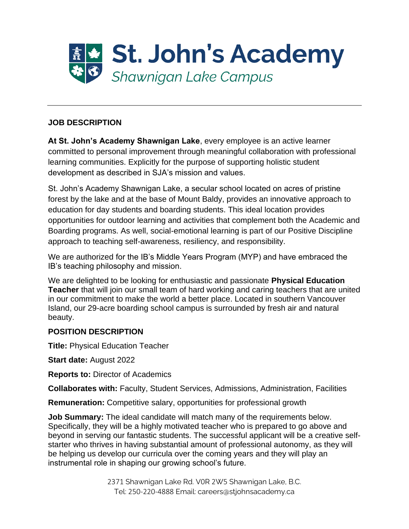

## **JOB DESCRIPTION**

**At St. John's Academy Shawnigan Lake**, every employee is an active learner committed to personal improvement through meaningful collaboration with professional learning communities. Explicitly for the purpose of supporting holistic student development as described in SJA's mission and values.

St. John's Academy Shawnigan Lake, a secular school located on acres of pristine forest by the lake and at the base of Mount Baldy, provides an innovative approach to education for day students and boarding students. This ideal location provides opportunities for outdoor learning and activities that complement both the Academic and Boarding programs. As well, social-emotional learning is part of our Positive Discipline approach to teaching self-awareness, resiliency, and responsibility.

We are authorized for the IB's Middle Years Program (MYP) and have embraced the IB's teaching philosophy and mission.

We are delighted to be looking for enthusiastic and passionate **Physical Education Teacher** that will join our small team of hard working and caring teachers that are united in our commitment to make the world a better place. Located in southern Vancouver Island, our 29-acre boarding school campus is surrounded by fresh air and natural beauty.

#### **POSITION DESCRIPTION**

**Title:** Physical Education Teacher

**Start date:** August 2022

**Reports to:** Director of Academics

**Collaborates with:** Faculty, Student Services, Admissions, Administration, Facilities

**Remuneration:** Competitive salary, opportunities for professional growth

**Job Summary:** The ideal candidate will match many of the requirements below. Specifically, they will be a highly motivated teacher who is prepared to go above and beyond in serving our fantastic students. The successful applicant will be a creative selfstarter who thrives in having substantial amount of professional autonomy, as they will be helping us develop our curricula over the coming years and they will play an instrumental role in shaping our growing school's future.

> 2371 Shawnigan Lake Rd. V0R 2W5 Shawnigan Lake, B.C. Tel: 250-220-4888 Email: careers@stjohnsacademy.ca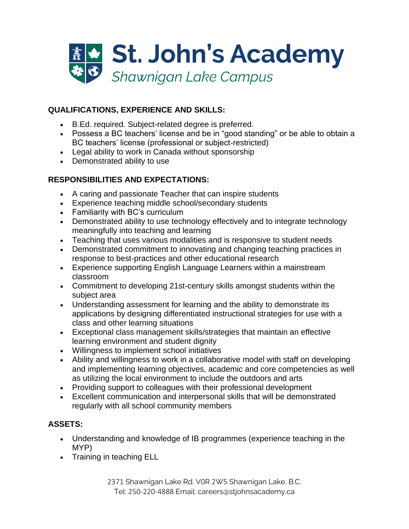

# **QUALIFICATIONS, EXPERIENCE AND SKILLS:**

- B.Ed. required. Subject-related degree is preferred.
- Possess a BC teachers' license and be in "good standing" or be able to obtain a BC teachers' license (professional or subject-restricted)
- Legal ability to work in Canada without sponsorship
- Demonstrated ability to use

## **RESPONSIBILITIES AND EXPECTATIONS:**

- A caring and passionate Teacher that can inspire students
- Experience teaching middle school/secondary students
- Familiarity with BC's curriculum
- Demonstrated ability to use technology effectively and to integrate technology meaningfully into teaching and learning
- Teaching that uses various modalities and is responsive to student needs
- Demonstrated commitment to innovating and changing teaching practices in response to best-practices and other educational research
- Experience supporting English Language Learners within a mainstream classroom
- Commitment to developing 21st-century skills amongst students within the subject area
- Understanding assessment for learning and the ability to demonstrate its applications by designing differentiated instructional strategies for use with a class and other learning situations
- Exceptional class management skills/strategies that maintain an effective learning environment and student dignity
- Willingness to implement school initiatives
- Ability and willingness to work in a collaborative model with staff on developing and implementing learning objectives, academic and core competencies as well as utilizing the local environment to include the outdoors and arts
- Providing support to colleagues with their professional development
- Excellent communication and interpersonal skills that will be demonstrated regularly with all school community members

# **ASSETS:**

- Understanding and knowledge of IB programmes (experience teaching in the MYP)
- Training in teaching ELL

2371 Shawnigan Lake Rd. V0R 2W5 Shawnigan Lake, B.C. Tel: 250-220-4888 Email: careers@stjohnsacademy.ca